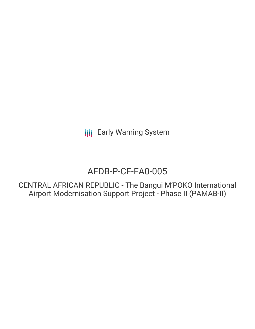**III** Early Warning System

# AFDB-P-CF-FA0-005

CENTRAL AFRICAN REPUBLIC - The Bangui M'POKO International Airport Modernisation Support Project - Phase II (PAMAB-II)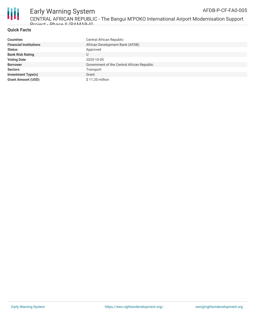

#### **Quick Facts**

| <b>Countries</b>              | Central African Republic                   |
|-------------------------------|--------------------------------------------|
| <b>Financial Institutions</b> | African Development Bank (AFDB)            |
| <b>Status</b>                 | Approved                                   |
| <b>Bank Risk Rating</b>       | U                                          |
| <b>Voting Date</b>            | 2020-10-05                                 |
| <b>Borrower</b>               | Government of the Central African Republic |
| <b>Sectors</b>                | Transport                                  |
| <b>Investment Type(s)</b>     | Grant                                      |
| <b>Grant Amount (USD)</b>     | \$11.20 million                            |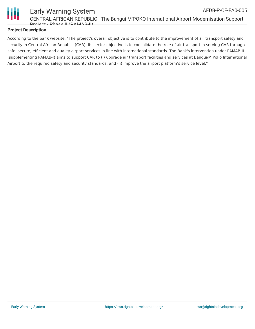

#### Early Warning System CENTRAL AFRICAN REPUBLIC - The Bangui M'POKO International Airport Modernisation Support Project - Phase II (PAMAB-II) AFDB-P-CF-FA0-005

#### **Project Description**

According to the bank website, "The project's overall objective is to contribute to the improvement of air transport safety and security in Central African Republic (CAR). Its sector objective is to consolidate the role of air transport in serving CAR through safe, secure, efficient and quality airport services in line with international standards. The Bank's intervention under PAMAB-II (supplementing PAMAB-I) aims to support CAR to (i) upgrade air transport facilities and services at Bangui/M'Poko International Airport to the required safety and security standards; and (ii) improve the airport platform's service level."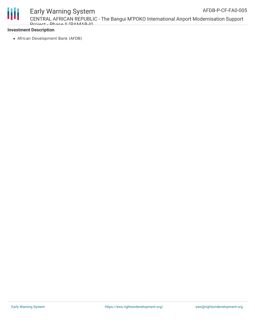Ш

## Early Warning System

CENTRAL AFRICAN REPUBLIC - The Bangui M'POKO International Airport Modernisation Support Project - Phase II (PAMAB-II)

#### **Investment Description**

African Development Bank (AFDB)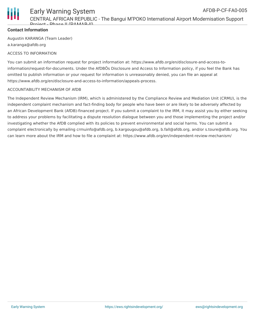

## **Contact Information**

Augustin KARANGA (Team Leader) a.karanga@afdb.org

### ACCESS TO INFORMATION

You can submit an information request for project information at: https://www.afdb.org/en/disclosure-and-access-toinformation/request-for-documents. Under the AfDBÕs Disclosure and Access to Information policy, if you feel the Bank has omitted to publish information or your request for information is unreasonably denied, you can file an appeal at https://www.afdb.org/en/disclosure-and-access-to-information/appeals-process.

### ACCOUNTABILITY MECHANISM OF AfDB

The Independent Review Mechanism (IRM), which is administered by the Compliance Review and Mediation Unit (CRMU), is the independent complaint mechanism and fact-finding body for people who have been or are likely to be adversely affected by an African Development Bank (AfDB)-financed project. If you submit a complaint to the IRM, it may assist you by either seeking to address your problems by facilitating a dispute resolution dialogue between you and those implementing the project and/or investigating whether the AfDB complied with its policies to prevent environmental and social harms. You can submit a complaint electronically by emailing crmuinfo@afdb.org, b.kargougou@afdb.org, b.fall@afdb.org, and/or s.toure@afdb.org. You can learn more about the IRM and how to file a complaint at: https://www.afdb.org/en/independent-review-mechanism/